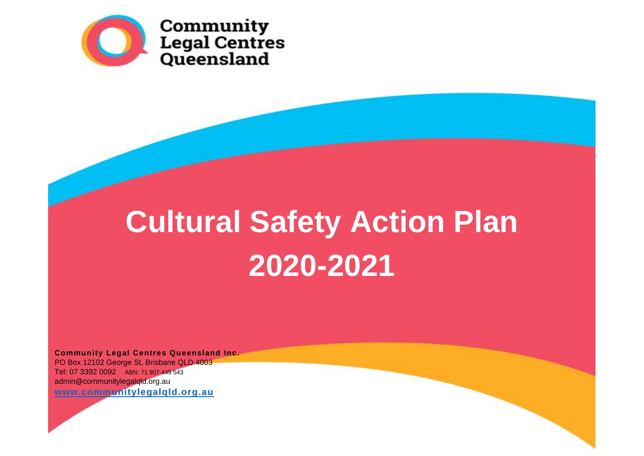

# **Cultural Safety Action Plan 2020-2021**

**Community Legal Centres Queensland Inc.** PO Box 12102 George St, Brisbane QLD 4003 Tel: 07 3392 0092 ABN: 71 907 449 543 [admin@communitylegalqld.org.au](mailto:admin@communitylegalqld.org.au)  **[www.communitylegalqld.org.au](http://www.communitylegalqld.org.au/)**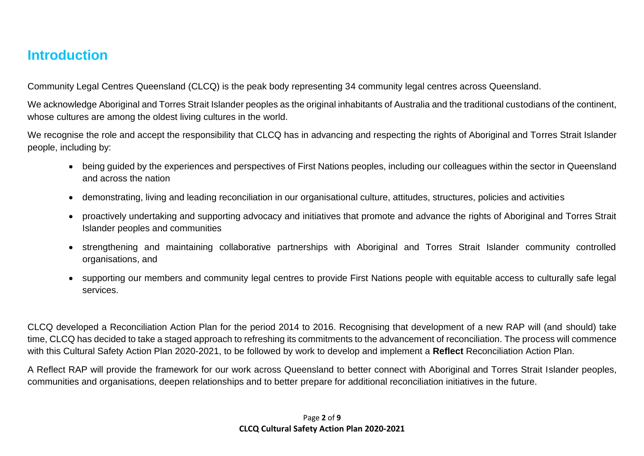#### **Introduction**

Community Legal Centres Queensland (CLCQ) is the peak body representing 34 community legal centres across Queensland.

We acknowledge Aboriginal and Torres Strait Islander peoples as the original inhabitants of Australia and the traditional custodians of the continent, whose cultures are among the oldest living cultures in the world.

We recognise the role and accept the responsibility that CLCQ has in advancing and respecting the rights of Aboriginal and Torres Strait Islander people, including by:

- being guided by the experiences and perspectives of First Nations peoples, including our colleagues within the sector in Queensland and across the nation
- demonstrating, living and leading reconciliation in our organisational culture, attitudes, structures, policies and activities
- proactively undertaking and supporting advocacy and initiatives that promote and advance the rights of Aboriginal and Torres Strait Islander peoples and communities
- strengthening and maintaining collaborative partnerships with Aboriginal and Torres Strait Islander community controlled organisations, and
- supporting our members and community legal centres to provide First Nations people with equitable access to culturally safe legal services.

CLCQ developed a Reconciliation Action Plan for the period 2014 to 2016. Recognising that development of a new RAP will (and should) take time, CLCQ has decided to take a staged approach to refreshing its commitments to the advancement of reconciliation. The process will commence with this Cultural Safety Action Plan 2020-2021, to be followed by work to develop and implement a **Reflect** Reconciliation Action Plan.

A Reflect RAP will provide the framework for our work across Queensland to better connect with Aboriginal and Torres Strait Islander peoples, communities and organisations, deepen relationships and to better prepare for additional reconciliation initiatives in the future.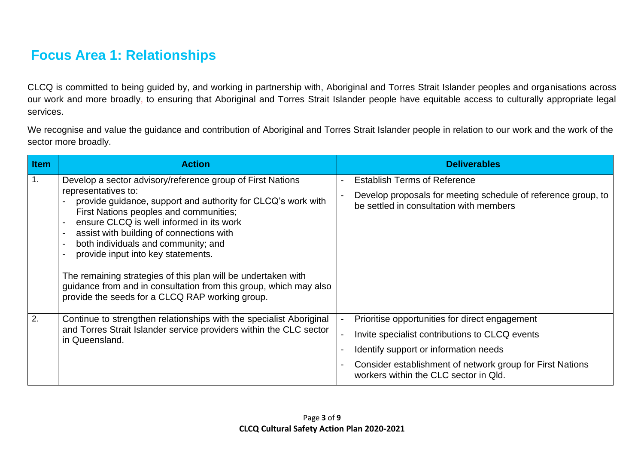# **Focus Area 1: Relationships**

CLCQ is committed to being guided by, and working in partnership with, Aboriginal and Torres Strait Islander peoples and organisations across our work and more broadly, to ensuring that Aboriginal and Torres Strait Islander people have equitable access to culturally appropriate legal services.

We recognise and value the guidance and contribution of Aboriginal and Torres Strait Islander people in relation to our work and the work of the sector more broadly.

| Item | <b>Action</b>                                                                                                                                                                                                                                                                                                                                                                                                                                                                                                                                                                                                     | <b>Deliverables</b>                                                                                                                                                                                                                             |
|------|-------------------------------------------------------------------------------------------------------------------------------------------------------------------------------------------------------------------------------------------------------------------------------------------------------------------------------------------------------------------------------------------------------------------------------------------------------------------------------------------------------------------------------------------------------------------------------------------------------------------|-------------------------------------------------------------------------------------------------------------------------------------------------------------------------------------------------------------------------------------------------|
|      | Develop a sector advisory/reference group of First Nations<br>representatives to:<br>provide guidance, support and authority for CLCQ's work with<br>First Nations peoples and communities;<br>ensure CLCQ is well informed in its work<br>assist with building of connections with<br>$\overline{\phantom{0}}$<br>both individuals and community; and<br>$\overline{\phantom{0}}$<br>provide input into key statements.<br>The remaining strategies of this plan will be undertaken with<br>guidance from and in consultation from this group, which may also<br>provide the seeds for a CLCQ RAP working group. | <b>Establish Terms of Reference</b><br>Develop proposals for meeting schedule of reference group, to<br>be settled in consultation with members                                                                                                 |
| 2.   | Continue to strengthen relationships with the specialist Aboriginal<br>and Torres Strait Islander service providers within the CLC sector<br>in Queensland.                                                                                                                                                                                                                                                                                                                                                                                                                                                       | Prioritise opportunities for direct engagement<br>Invite specialist contributions to CLCQ events<br>Identify support or information needs<br>Consider establishment of network group for First Nations<br>workers within the CLC sector in Qld. |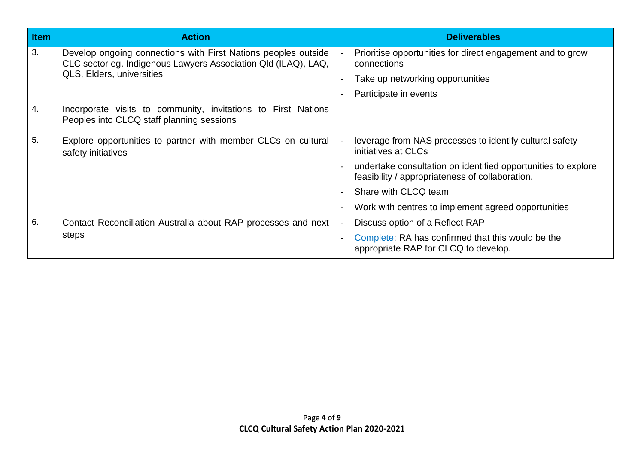| <b>Item</b> | <b>Action</b>                                                                                                                                                        | <b>Deliverables</b>                                                                                              |
|-------------|----------------------------------------------------------------------------------------------------------------------------------------------------------------------|------------------------------------------------------------------------------------------------------------------|
| 3.          | Develop ongoing connections with First Nations peoples outside<br>CLC sector eg. Indigenous Lawyers Association Qld (ILAQ), LAQ,<br><b>QLS, Elders, universities</b> | Prioritise opportunities for direct engagement and to grow<br>connections                                        |
|             |                                                                                                                                                                      | Take up networking opportunities                                                                                 |
|             |                                                                                                                                                                      | Participate in events                                                                                            |
| 4.          | Incorporate visits to community, invitations to First Nations<br>Peoples into CLCQ staff planning sessions                                                           |                                                                                                                  |
| 5.          | Explore opportunities to partner with member CLCs on cultural<br>safety initiatives                                                                                  | leverage from NAS processes to identify cultural safety<br>initiatives at CLCs                                   |
|             |                                                                                                                                                                      | undertake consultation on identified opportunities to explore<br>feasibility / appropriateness of collaboration. |
|             |                                                                                                                                                                      | Share with CLCQ team                                                                                             |
|             |                                                                                                                                                                      | Work with centres to implement agreed opportunities                                                              |
| 6.          | Contact Reconciliation Australia about RAP processes and next                                                                                                        | Discuss option of a Reflect RAP                                                                                  |
|             | steps                                                                                                                                                                | Complete: RA has confirmed that this would be the<br>appropriate RAP for CLCQ to develop.                        |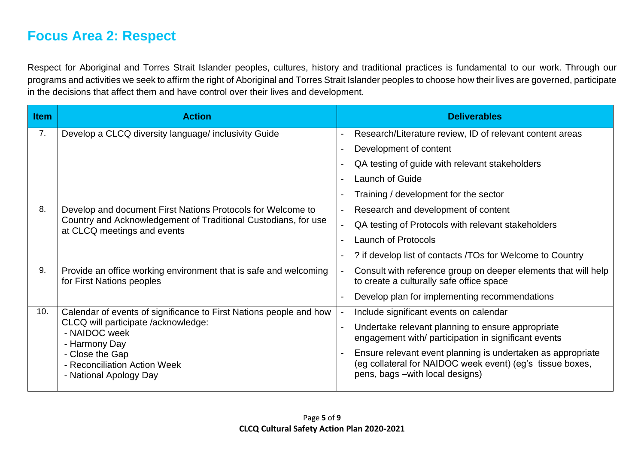### **Focus Area 2: Respect**

Respect for Aboriginal and Torres Strait Islander peoples, cultures, history and traditional practices is fundamental to our work. Through our programs and activities we seek to affirm the right of Aboriginal and Torres Strait Islander peoples to choose how their lives are governed, participate in the decisions that affect them and have control over their lives and development.

| <b>Item</b>    | <b>Action</b>                                                                                                                                                | <b>Deliverables</b>                                                                                                                                          |
|----------------|--------------------------------------------------------------------------------------------------------------------------------------------------------------|--------------------------------------------------------------------------------------------------------------------------------------------------------------|
| 7 <sub>1</sub> | Develop a CLCQ diversity language/ inclusivity Guide                                                                                                         | Research/Literature review, ID of relevant content areas                                                                                                     |
|                |                                                                                                                                                              | Development of content                                                                                                                                       |
|                |                                                                                                                                                              | QA testing of guide with relevant stakeholders                                                                                                               |
|                |                                                                                                                                                              | <b>Launch of Guide</b>                                                                                                                                       |
|                |                                                                                                                                                              | Training / development for the sector                                                                                                                        |
| 8.             | Develop and document First Nations Protocols for Welcome to<br>Country and Acknowledgement of Traditional Custodians, for use<br>at CLCQ meetings and events | Research and development of content                                                                                                                          |
|                |                                                                                                                                                              | QA testing of Protocols with relevant stakeholders                                                                                                           |
|                |                                                                                                                                                              | <b>Launch of Protocols</b>                                                                                                                                   |
|                |                                                                                                                                                              | ? if develop list of contacts / TOs for Welcome to Country                                                                                                   |
| 9.             | Provide an office working environment that is safe and welcoming<br>for First Nations peoples                                                                | Consult with reference group on deeper elements that will help<br>to create a culturally safe office space                                                   |
|                |                                                                                                                                                              | Develop plan for implementing recommendations                                                                                                                |
| 10.            | Calendar of events of significance to First Nations people and how                                                                                           | Include significant events on calendar                                                                                                                       |
|                | CLCQ will participate /acknowledge:<br>- NAIDOC week<br>- Harmony Day                                                                                        | Undertake relevant planning to ensure appropriate<br>engagement with/ participation in significant events                                                    |
|                | - Close the Gap<br>- Reconciliation Action Week<br>- National Apology Day                                                                                    | Ensure relevant event planning is undertaken as appropriate<br>(eg collateral for NAIDOC week event) (eg's tissue boxes,<br>pens, bags - with local designs) |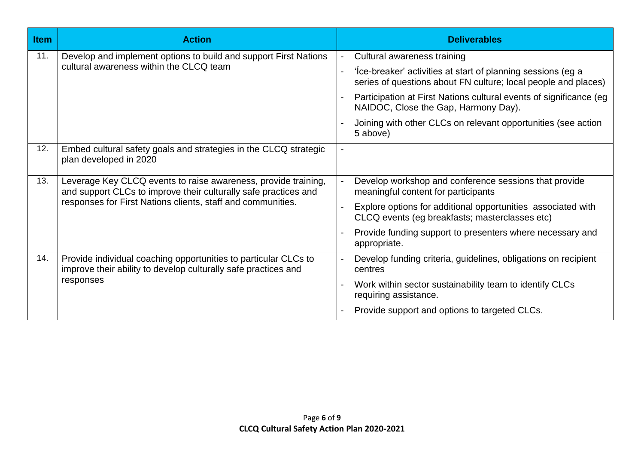| <b>Item</b> | <b>Action</b>                                                                                                                                                                                    | <b>Deliverables</b>                                                                                                            |
|-------------|--------------------------------------------------------------------------------------------------------------------------------------------------------------------------------------------------|--------------------------------------------------------------------------------------------------------------------------------|
| 11.         | Develop and implement options to build and support First Nations<br>cultural awareness within the CLCQ team                                                                                      | Cultural awareness training<br>$\blacksquare$                                                                                  |
|             |                                                                                                                                                                                                  | 'Ice-breaker' activities at start of planning sessions (eg a<br>series of questions about FN culture; local people and places) |
|             |                                                                                                                                                                                                  | Participation at First Nations cultural events of significance (eg<br>NAIDOC, Close the Gap, Harmony Day).                     |
|             |                                                                                                                                                                                                  | Joining with other CLCs on relevant opportunities (see action<br>5 above)                                                      |
| 12.         | Embed cultural safety goals and strategies in the CLCQ strategic<br>plan developed in 2020                                                                                                       |                                                                                                                                |
| 13.         | Leverage Key CLCQ events to raise awareness, provide training,<br>and support CLCs to improve their culturally safe practices and<br>responses for First Nations clients, staff and communities. | Develop workshop and conference sessions that provide<br>meaningful content for participants                                   |
|             |                                                                                                                                                                                                  | Explore options for additional opportunities associated with<br>CLCQ events (eg breakfasts; masterclasses etc)                 |
|             |                                                                                                                                                                                                  | Provide funding support to presenters where necessary and<br>appropriate.                                                      |
| 14.         | Provide individual coaching opportunities to particular CLCs to<br>improve their ability to develop culturally safe practices and<br>responses                                                   | Develop funding criteria, guidelines, obligations on recipient<br>centres                                                      |
|             |                                                                                                                                                                                                  | Work within sector sustainability team to identify CLCs<br>requiring assistance.                                               |
|             |                                                                                                                                                                                                  | Provide support and options to targeted CLCs.                                                                                  |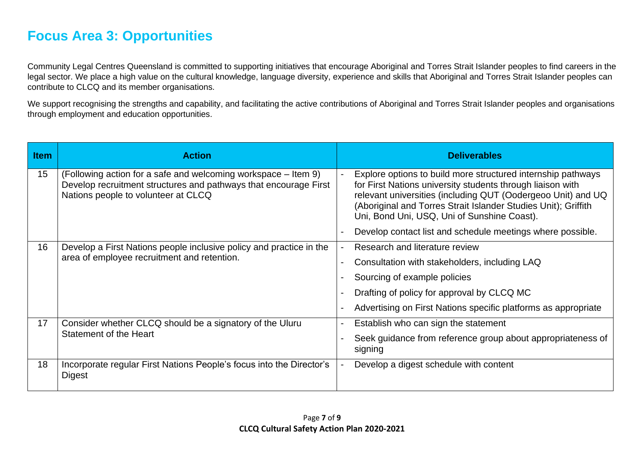## **Focus Area 3: Opportunities**

Community Legal Centres Queensland is committed to supporting initiatives that encourage Aboriginal and Torres Strait Islander peoples to find careers in the legal sector. We place a high value on the cultural knowledge, language diversity, experience and skills that Aboriginal and Torres Strait Islander peoples can contribute to CLCQ and its member organisations.

We support recognising the strengths and capability, and facilitating the active contributions of Aboriginal and Torres Strait Islander peoples and organisations through employment and education opportunities.

| <b>Item</b> | <b>Action</b>                                                                                                                                                             | <b>Deliverables</b>                                                                                                                                                                                                                                                                                         |
|-------------|---------------------------------------------------------------------------------------------------------------------------------------------------------------------------|-------------------------------------------------------------------------------------------------------------------------------------------------------------------------------------------------------------------------------------------------------------------------------------------------------------|
| 15          | (Following action for a safe and welcoming workspace – Item 9)<br>Develop recruitment structures and pathways that encourage First<br>Nations people to volunteer at CLCQ | Explore options to build more structured internship pathways<br>for First Nations university students through liaison with<br>relevant universities (including QUT (Oodergeoo Unit) and UQ<br>(Aboriginal and Torres Strait Islander Studies Unit); Griffith<br>Uni, Bond Uni, USQ, Uni of Sunshine Coast). |
|             |                                                                                                                                                                           | Develop contact list and schedule meetings where possible.                                                                                                                                                                                                                                                  |
| 16          | Develop a First Nations people inclusive policy and practice in the                                                                                                       | Research and literature review                                                                                                                                                                                                                                                                              |
|             | area of employee recruitment and retention.                                                                                                                               | Consultation with stakeholders, including LAQ                                                                                                                                                                                                                                                               |
|             |                                                                                                                                                                           | Sourcing of example policies                                                                                                                                                                                                                                                                                |
|             |                                                                                                                                                                           | Drafting of policy for approval by CLCQ MC                                                                                                                                                                                                                                                                  |
|             |                                                                                                                                                                           | Advertising on First Nations specific platforms as appropriate                                                                                                                                                                                                                                              |
| 17          | Consider whether CLCQ should be a signatory of the Uluru<br>Statement of the Heart                                                                                        | Establish who can sign the statement                                                                                                                                                                                                                                                                        |
|             |                                                                                                                                                                           | Seek guidance from reference group about appropriateness of<br>signing                                                                                                                                                                                                                                      |
| 18          | Incorporate regular First Nations People's focus into the Director's<br>Digest                                                                                            | Develop a digest schedule with content                                                                                                                                                                                                                                                                      |
|             |                                                                                                                                                                           |                                                                                                                                                                                                                                                                                                             |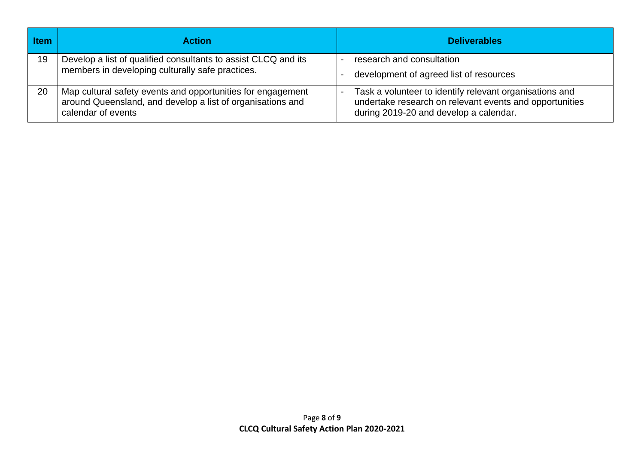| <b>Item</b> | <b>Action</b>                                                                                                                                   | <b>Deliverables</b>                                                                                                                                          |
|-------------|-------------------------------------------------------------------------------------------------------------------------------------------------|--------------------------------------------------------------------------------------------------------------------------------------------------------------|
| 19          | Develop a list of qualified consultants to assist CLCQ and its<br>members in developing culturally safe practices.                              | research and consultation<br>development of agreed list of resources                                                                                         |
| 20          | Map cultural safety events and opportunities for engagement<br>around Queensland, and develop a list of organisations and<br>calendar of events | Task a volunteer to identify relevant organisations and<br>undertake research on relevant events and opportunities<br>during 2019-20 and develop a calendar. |